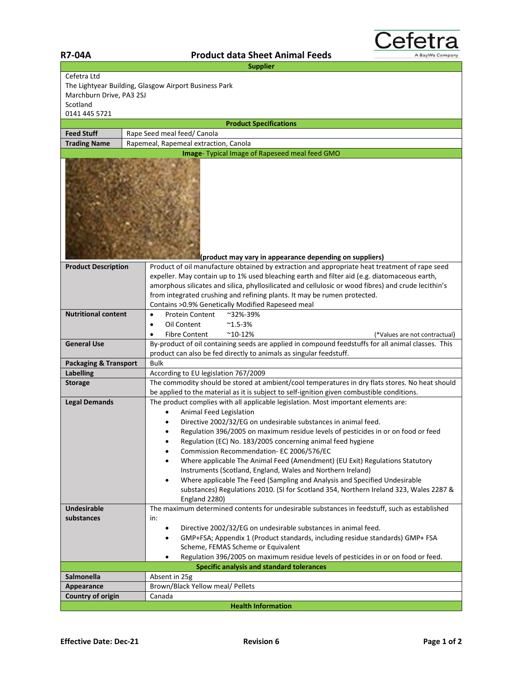| <b>Supplier</b>                                              |                                                                                                                                                                                   |  |
|--------------------------------------------------------------|-----------------------------------------------------------------------------------------------------------------------------------------------------------------------------------|--|
| Cefetra Ltd                                                  |                                                                                                                                                                                   |  |
| The Lightyear Building, Glasgow Airport Business Park        |                                                                                                                                                                                   |  |
| Marchburn Drive, PA3 2SJ                                     |                                                                                                                                                                                   |  |
| Scotland                                                     |                                                                                                                                                                                   |  |
| 0141 445 5721                                                |                                                                                                                                                                                   |  |
|                                                              | <b>Product Specifications</b>                                                                                                                                                     |  |
| <b>Feed Stuff</b>                                            | Rape Seed meal feed/ Canola                                                                                                                                                       |  |
| Rapemeal, Rapemeal extraction, Canola<br><b>Trading Name</b> |                                                                                                                                                                                   |  |
| Image- Typical Image of Rapeseed meal feed GMO               |                                                                                                                                                                                   |  |
|                                                              | (product may vary in appearance depending on suppliers)                                                                                                                           |  |
| <b>Product Description</b>                                   | Product of oil manufacture obtained by extraction and appropriate heat treatment of rape seed                                                                                     |  |
|                                                              | expeller. May contain up to 1% used bleaching earth and filter aid (e.g. diatomaceous earth,                                                                                      |  |
|                                                              | amorphous silicates and silica, phyllosilicated and cellulosic or wood fibres) and crude lecithin's                                                                               |  |
|                                                              | from integrated crushing and refining plants. It may be rumen protected.                                                                                                          |  |
|                                                              | Contains > 0.9% Genetically Modified Rapeseed meal                                                                                                                                |  |
| <b>Nutritional content</b>                                   | <b>Protein Content</b><br>~32%-39%<br>$\bullet$                                                                                                                                   |  |
|                                                              | Oil Content<br>$^{\sim}$ 1.5-3%<br>٠                                                                                                                                              |  |
| <b>General Use</b>                                           | $^{\sim}$ 10-12%<br><b>Fibre Content</b><br>(*Values are not contractual)<br>By-product of oil containing seeds are applied in compound feedstuffs for all animal classes. This   |  |
|                                                              | product can also be fed directly to animals as singular feedstuff.                                                                                                                |  |
| <b>Packaging &amp; Transport</b>                             | <b>Bulk</b>                                                                                                                                                                       |  |
| <b>Labelling</b>                                             | According to EU legislation 767/2009                                                                                                                                              |  |
| <b>Storage</b>                                               | The commodity should be stored at ambient/cool temperatures in dry flats stores. No heat should                                                                                   |  |
|                                                              | be applied to the material as it is subject to self-ignition given combustible conditions.                                                                                        |  |
| <b>Legal Demands</b>                                         | The product complies with all applicable legislation. Most important elements are:                                                                                                |  |
|                                                              | Animal Feed Legislation                                                                                                                                                           |  |
|                                                              | Directive 2002/32/EG on undesirable substances in animal feed.<br>$\bullet$                                                                                                       |  |
|                                                              | Regulation 396/2005 on maximum residue levels of pesticides in or on food or feed<br>$\bullet$                                                                                    |  |
|                                                              | Regulation (EC) No. 183/2005 concerning animal feed hygiene<br>٠                                                                                                                  |  |
|                                                              | Commission Recommendation- EC 2006/576/EC<br>$\bullet$                                                                                                                            |  |
|                                                              | Where applicable The Animal Feed (Amendment) (EU Exit) Regulations Statutory<br>$\bullet$                                                                                         |  |
|                                                              | Instruments (Scotland, England, Wales and Northern Ireland)                                                                                                                       |  |
|                                                              | Where applicable The Feed (Sampling and Analysis and Specified Undesirable<br>$\bullet$<br>substances) Regulations 2010. (SI for Scotland 354, Northern Ireland 323, Wales 2287 & |  |
| <b>Undesirable</b>                                           | England 2280)<br>The maximum determined contents for undesirable substances in feedstuff, such as established                                                                     |  |
| substances                                                   | in:                                                                                                                                                                               |  |
|                                                              | Directive 2002/32/EG on undesirable substances in animal feed.<br>$\bullet$                                                                                                       |  |
|                                                              | GMP+FSA; Appendix 1 (Product standards, including residue standards) GMP+ FSA<br>$\bullet$                                                                                        |  |
|                                                              | Scheme, FEMAS Scheme or Equivalent                                                                                                                                                |  |
|                                                              | Regulation 396/2005 on maximum residue levels of pesticides in or on food or feed.<br>٠                                                                                           |  |
| <b>Specific analysis and standard tolerances</b>             |                                                                                                                                                                                   |  |
| Salmonella                                                   | Absent in 25g                                                                                                                                                                     |  |
| Appearance                                                   | Brown/Black Yellow meal/ Pellets                                                                                                                                                  |  |
| Country of origin                                            | Canada                                                                                                                                                                            |  |
| <b>Health Information</b>                                    |                                                                                                                                                                                   |  |

Cefetra

A BayWa Company